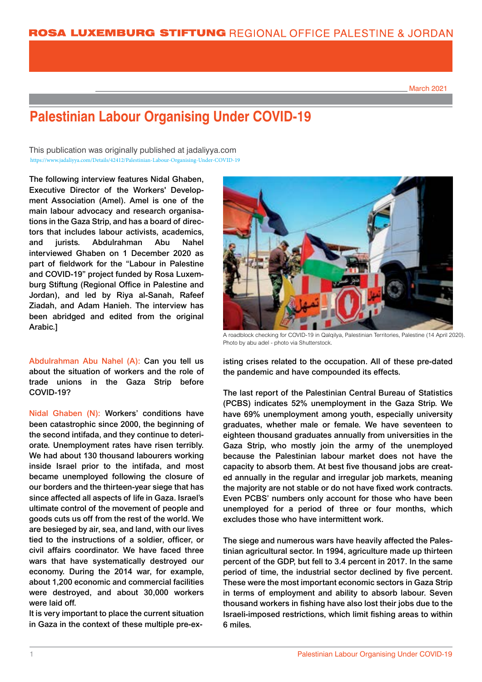March 2021

## **Palestinian Labour Organising Under COVID-19**

This publication was originally published at jadaliyya.com https://www.jadaliyya.com/Details/42412/Palestinian-Labour-Organising-Under-COVID-19 https://www.jadaliyya.com/Details/42412/Palestinian-Labour-Organising-Under-COVID-19

The following interview features Nidal Ghaben, Executive Director of the Workers' Development Association (Amel). Amel is one of the main labour advocacy and research organisations in the Gaza Strip, and has a board of directors that includes labour activists, academics, and jurists. Abdulrahman Abu Nahel interviewed Ghaben on 1 December 2020 as part of fieldwork for the "Labour in Palestine and COVID-19" project funded by Rosa Luxemburg Stiftung (Regional Office in Palestine and Jordan), and led by Riya al-Sanah, Rafeef Ziadah, and Adam Hanieh. The interview has been abridged and edited from the original Arabic.]

Abdulrahman Abu Nahel (A): Can you tell us about the situation of workers and the role of trade unions in the Gaza Strip before COVID-19?

Nidal Ghaben (N): Workers' conditions have been catastrophic since 2000, the beginning of the second intifada, and they continue to deteriorate. Unemployment rates have risen terribly. We had about 130 thousand labourers working inside Israel prior to the intifada, and most became unemployed following the closure of our borders and the thirteen-year siege that has since affected all aspects of life in Gaza. Israel's ultimate control of the movement of people and goods cuts us off from the rest of the world. We are besieged by air, sea, and land, with our lives tied to the instructions of a soldier, officer, or civil affairs coordinator. We have faced three wars that have systematically destroyed our economy. During the 2014 war, for example, about 1,200 economic and commercial facilities were destroyed, and about 30,000 workers were laid off.

It is very important to place the current situation in Gaza in the context of these multiple pre-ex-



A roadblock checking for COVID-19 in Qalqilya, Palestinian Territories, Palestine (14 April 2020). Photo by abu adel - photo via Shutterstock.

isting crises related to the occupation. All of these pre-dated the pandemic and have compounded its effects.

The last report of the Palestinian Central Bureau of Statistics (PCBS) indicates 52% unemployment in the Gaza Strip. We have 69% unemployment among youth, especially university graduates, whether male or female. We have seventeen to eighteen thousand graduates annually from universities in the Gaza Strip, who mostly join the army of the unemployed because the Palestinian labour market does not have the capacity to absorb them. At best five thousand jobs are created annually in the regular and irregular job markets, meaning the majority are not stable or do not have fixed work contracts. Even PCBS' numbers only account for those who have been unemployed for a period of three or four months, which excludes those who have intermittent work.

The siege and numerous wars have heavily affected the Palestinian agricultural sector. In 1994, agriculture made up thirteen percent of the GDP, but fell to 3.4 percent in 2017. In the same period of time, the industrial sector declined by five percent. These were the most important economic sectors in Gaza Strip in terms of employment and ability to absorb labour. Seven thousand workers in fishing have also lost their jobs due to the Israeli-imposed restrictions, which limit fishing areas to within 6 miles.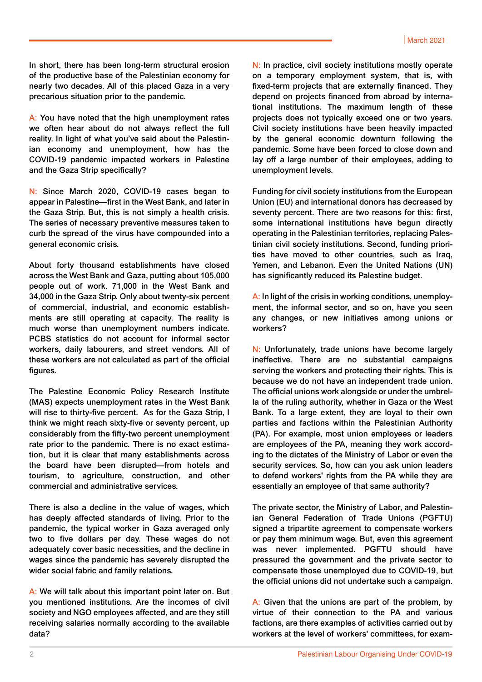In short, there has been long-term structural erosion of the productive base of the Palestinian economy for nearly two decades. All of this placed Gaza in a very precarious situation prior to the pandemic.

A: You have noted that the high unemployment rates we often hear about do not always reflect the full reality. In light of what you've said about the Palestinian economy and unemployment, how has the COVID-19 pandemic impacted workers in Palestine and the Gaza Strip specifically?

N: Since March 2020, COVID-19 cases began to appear in Palestine—first in the West Bank, and later in the Gaza Strip. But, this is not simply a health crisis. The series of necessary preventive measures taken to curb the spread of the virus have compounded into a general economic crisis.

About forty thousand establishments have closed across the West Bank and Gaza, putting about 105,000 people out of work. 71,000 in the West Bank and 34,000 in the Gaza Strip. Only about twenty-six percent of commercial, industrial, and economic establishments are still operating at capacity. The reality is much worse than unemployment numbers indicate. PCBS statistics do not account for informal sector workers, daily labourers, and street vendors. All of these workers are not calculated as part of the official figures.

The Palestine Economic Policy Research Institute (MAS) expects unemployment rates in the West Bank will rise to thirty-five percent. As for the Gaza Strip, I think we might reach sixty-five or seventy percent, up considerably from the fifty-two percent unemployment rate prior to the pandemic. There is no exact estimation, but it is clear that many establishments across the board have been disrupted—from hotels and tourism, to agriculture, construction, and other commercial and administrative services.

There is also a decline in the value of wages, which has deeply affected standards of living. Prior to the pandemic, the typical worker in Gaza averaged only two to five dollars per day. These wages do not adequately cover basic necessities, and the decline in wages since the pandemic has severely disrupted the wider social fabric and family relations.

A: We will talk about this important point later on. But you mentioned institutions. Are the incomes of civil society and NGO employees affected, and are they still receiving salaries normally according to the available data?

N: In practice, civil society institutions mostly operate on a temporary employment system, that is, with fixed-term projects that are externally financed. They depend on projects financed from abroad by international institutions. The maximum length of these projects does not typically exceed one or two years. Civil society institutions have been heavily impacted by the general economic downturn following the pandemic. Some have been forced to close down and lay off a large number of their employees, adding to unemployment levels.

Funding for civil society institutions from the European Union (EU) and international donors has decreased by seventy percent. There are two reasons for this: first, some international institutions have begun directly operating in the Palestinian territories, replacing Palestinian civil society institutions. Second, funding priorities have moved to other countries, such as Iraq, Yemen, and Lebanon. Even the United Nations (UN) has significantly reduced its Palestine budget.

A: In light of the crisis in working conditions, unemployment, the informal sector, and so on, have you seen any changes, or new initiatives among unions or workers?

N: Unfortunately, trade unions have become largely ineffective. There are no substantial campaigns serving the workers and protecting their rights. This is because we do not have an independent trade union. The official unions work alongside or under the umbrella of the ruling authority, whether in Gaza or the West Bank. To a large extent, they are loyal to their own parties and factions within the Palestinian Authority (PA). For example, most union employees or leaders are employees of the PA, meaning they work according to the dictates of the Ministry of Labor or even the security services. So, how can you ask union leaders to defend workers' rights from the PA while they are essentially an employee of that same authority?

The private sector, the Ministry of Labor, and Palestinian General Federation of Trade Unions (PGFTU) signed a tripartite agreement to compensate workers or pay them minimum wage. But, even this agreement was never implemented. PGFTU should have pressured the government and the private sector to compensate those unemployed due to COVID-19, but the official unions did not undertake such a campaign.

A: Given that the unions are part of the problem, by virtue of their connection to the PA and various factions, are there examples of activities carried out by workers at the level of workers' committees, for exam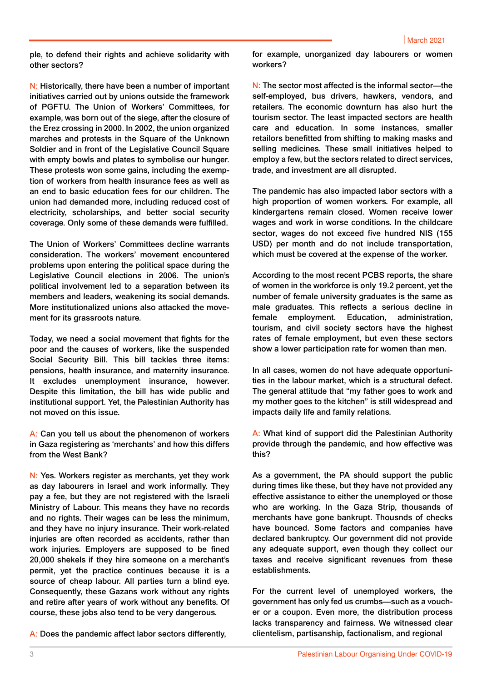ple, to defend their rights and achieve solidarity with other sectors?

N: Historically, there have been a number of important initiatives carried out by unions outside the framework of PGFTU. The Union of Workers' Committees, for example, was born out of the siege, after the closure of the Erez crossing in 2000. In 2002, the union organized marches and protests in the Square of the Unknown Soldier and in front of the Legislative Council Square with empty bowls and plates to symbolise our hunger. These protests won some gains, including the exemption of workers from health insurance fees as well as an end to basic education fees for our children. The union had demanded more, including reduced cost of electricity, scholarships, and better social security coverage. Only some of these demands were fulfilled.

The Union of Workers' Committees decline warrants consideration. The workers' movement encountered problems upon entering the political space during the Legislative Council elections in 2006. The union's political involvement led to a separation between its members and leaders, weakening its social demands. More institutionalized unions also attacked the movement for its grassroots nature.

Today, we need a social movement that fights for the poor and the causes of workers, like the suspended Social Security Bill. This bill tackles three items: pensions, health insurance, and maternity insurance. It excludes unemployment insurance, however. Despite this limitation, the bill has wide public and institutional support. Yet, the Palestinian Authority has not moved on this issue.

A: Can you tell us about the phenomenon of workers in Gaza registering as 'merchants' and how this differs from the West Bank?

N: Yes. Workers register as merchants, yet they work as day labourers in Israel and work informally. They pay a fee, but they are not registered with the Israeli Ministry of Labour. This means they have no records and no rights. Their wages can be less the minimum, and they have no injury insurance. Their work-related injuries are often recorded as accidents, rather than work injuries. Employers are supposed to be fined 20,000 shekels if they hire someone on a merchant's permit, yet the practice continues because it is a source of cheap labour. All parties turn a blind eye. Consequently, these Gazans work without any rights and retire after years of work without any benefits. Of course, these jobs also tend to be very dangerous.

A: Does the pandemic affect labor sectors differently,

for example, unorganized day labourers or women workers?

N: The sector most affected is the informal sector—the self-employed, bus drivers, hawkers, vendors, and retailers. The economic downturn has also hurt the tourism sector. The least impacted sectors are health care and education. In some instances, smaller retailors benefitted from shifting to making masks and selling medicines. These small initiatives helped to employ a few, but the sectors related to direct services, trade, and investment are all disrupted.

The pandemic has also impacted labor sectors with a high proportion of women workers. For example, all kindergartens remain closed. Women receive lower wages and work in worse conditions. In the childcare sector, wages do not exceed five hundred NIS (155 USD) per month and do not include transportation, which must be covered at the expense of the worker.

According to the most recent PCBS reports, the share of women in the workforce is only 19.2 percent, yet the number of female university graduates is the same as male graduates. This reflects a serious decline in female employment. Education, administration, tourism, and civil society sectors have the highest rates of female employment, but even these sectors show a lower participation rate for women than men.

In all cases, women do not have adequate opportunities in the labour market, which is a structural defect. The general attitude that "my father goes to work and my mother goes to the kitchen" is still widespread and impacts daily life and family relations.

A: What kind of support did the Palestinian Authority provide through the pandemic, and how effective was this?

As a government, the PA should support the public during times like these, but they have not provided any effective assistance to either the unemployed or those who are working. In the Gaza Strip, thousands of merchants have gone bankrupt. Thousnds of checks have bounced. Some factors and companies have declared bankruptcy. Our government did not provide any adequate support, even though they collect our taxes and receive significant revenues from these establishments.

For the current level of unemployed workers, the government has only fed us crumbs—such as a voucher or a coupon. Even more, the distribution process lacks transparency and fairness. We witnessed clear clientelism, partisanship, factionalism, and regional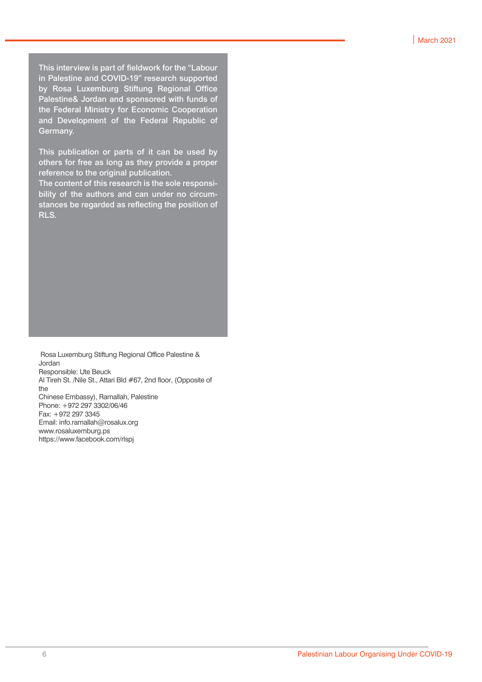This interview is part of fieldwork for the "Labour in Palestine and COVID-19" research supported by Rosa Luxemburg Stiftung Regional Office Palestine& Jordan and sponsored with funds of the Federal Ministry for Economic Cooperation and Development of the Federal Republic of Germany.

This publication or parts of it can be used by others for free as long as they provide a proper reference to the original publication.

The content of this research is the sole responsibility of the authors and can under no circumstances be regarded as reflecting the position of RLS.

 Rosa Luxemburg Stiftung Regional Office Palestine & Jordan Responsible: Ute Beuck Al Tireh St. /Nile St., Attari Bld #67, 2nd floor, (Opposite of the Chinese Embassy), Ramallah, Palestine Phone: +972 297 3302/06/46 Fax: +972 297 3345 Email: info.ramallah@rosalux.org www.rosaluxemburg.ps https://www.facebook.com/rlspj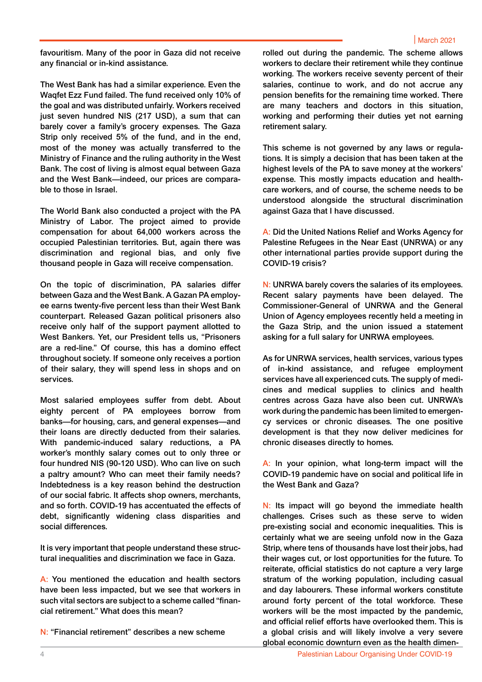favouritism. Many of the poor in Gaza did not receive any financial or in-kind assistance.

The West Bank has had a similar experience. Even the Waqfet Ezz Fund failed. The fund received only 10% of the goal and was distributed unfairly. Workers received just seven hundred NIS (217 USD), a sum that can barely cover a family's grocery expenses. The Gaza Strip only received 5% of the fund, and in the end, most of the money was actually transferred to the Ministry of Finance and the ruling authority in the West Bank. The cost of living is almost equal between Gaza and the West Bank—indeed, our prices are comparable to those in Israel.

The World Bank also conducted a project with the PA Ministry of Labor. The project aimed to provide compensation for about 64,000 workers across the occupied Palestinian territories. But, again there was discrimination and regional bias, and only five thousand people in Gaza will receive compensation.

On the topic of discrimination, PA salaries differ between Gaza and the West Bank. A Gazan PA employee earns twenty-five percent less than their West Bank counterpart. Released Gazan political prisoners also receive only half of the support payment allotted to West Bankers. Yet, our President tells us, "Prisoners are a red-line." Of course, this has a domino effect throughout society. If someone only receives a portion of their salary, they will spend less in shops and on services.

Most salaried employees suffer from debt. About eighty percent of PA employees borrow from banks—for housing, cars, and general expenses—and their loans are directly deducted from their salaries. With pandemic-induced salary reductions, a PA worker's monthly salary comes out to only three or four hundred NIS (90-120 USD). Who can live on such a paltry amount? Who can meet their family needs? Indebtedness is a key reason behind the destruction of our social fabric. It affects shop owners, merchants, and so forth. COVID-19 has accentuated the effects of debt, significantly widening class disparities and social differences.

It is very important that people understand these structural inequalities and discrimination we face in Gaza.

A: You mentioned the education and health sectors have been less impacted, but we see that workers in such vital sectors are subject to a scheme called "financial retirement." What does this mean?

N: "Financial retirement" describes a new scheme

rolled out during the pandemic. The scheme allows workers to declare their retirement while they continue working. The workers receive seventy percent of their salaries, continue to work, and do not accrue any pension benefits for the remaining time worked. There are many teachers and doctors in this situation, working and performing their duties yet not earning retirement salary.

This scheme is not governed by any laws or regulations. It is simply a decision that has been taken at the highest levels of the PA to save money at the workers' expense. This mostly impacts education and healthcare workers, and of course, the scheme needs to be understood alongside the structural discrimination against Gaza that I have discussed.

A: Did the United Nations Relief and Works Agency for Palestine Refugees in the Near East (UNRWA) or any other international parties provide support during the COVID-19 crisis?

N: UNRWA barely covers the salaries of its employees. Recent salary payments have been delayed. The Commissioner-General of UNRWA and the General Union of Agency employees recently held a meeting in the Gaza Strip, and the union issued a statement asking for a full salary for UNRWA employees.

As for UNRWA services, health services, various types of in-kind assistance, and refugee employment services have all experienced cuts. The supply of medicines and medical supplies to clinics and health centres across Gaza have also been cut. UNRWA's work during the pandemic has been limited to emergency services or chronic diseases. The one positive development is that they now deliver medicines for chronic diseases directly to homes.

A: In your opinion, what long-term impact will the COVID-19 pandemic have on social and political life in the West Bank and Gaza?

N: Its impact will go beyond the immediate health challenges. Crises such as these serve to widen pre-existing social and economic inequalities. This is certainly what we are seeing unfold now in the Gaza Strip, where tens of thousands have lost their jobs, had their wages cut, or lost opportunities for the future. To reiterate, official statistics do not capture a very large stratum of the working population, including casual and day labourers. These informal workers constitute around forty percent of the total workforce. These workers will be the most impacted by the pandemic, and official relief efforts have overlooked them. This is a global crisis and will likely involve a very severe global economic downturn even as the health dimen